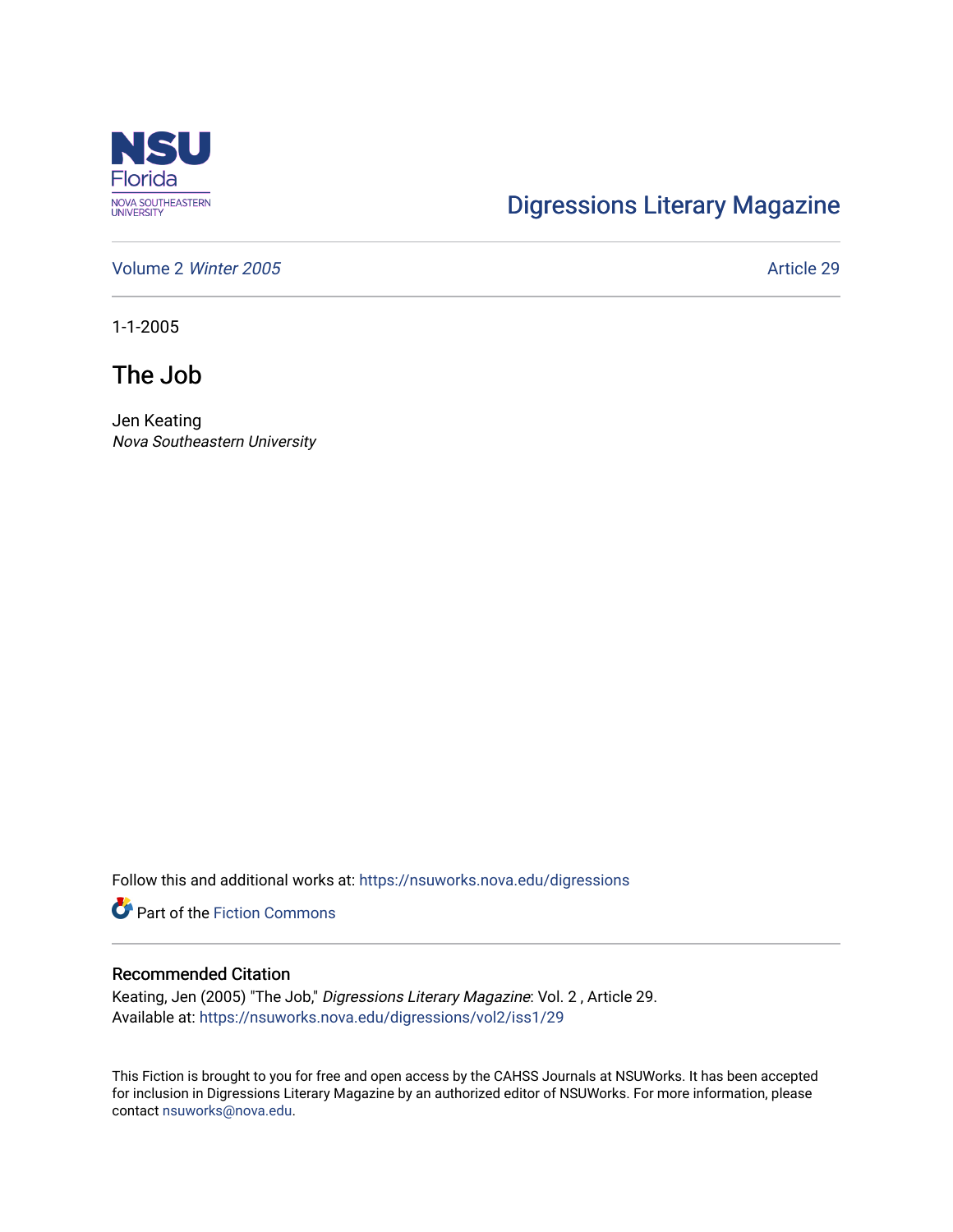

## [Digressions Literary Magazine](https://nsuworks.nova.edu/digressions)

[Volume 2](https://nsuworks.nova.edu/digressions/vol2) Winter 2005 **Article 29** Article 29

1-1-2005

The Job

Jen Keating Nova Southeastern University

Follow this and additional works at: [https://nsuworks.nova.edu/digressions](https://nsuworks.nova.edu/digressions?utm_source=nsuworks.nova.edu%2Fdigressions%2Fvol2%2Fiss1%2F29&utm_medium=PDF&utm_campaign=PDFCoverPages) 

**Part of the Fiction Commons** 

## Recommended Citation

Keating, Jen (2005) "The Job," Digressions Literary Magazine: Vol. 2 , Article 29. Available at: [https://nsuworks.nova.edu/digressions/vol2/iss1/29](https://nsuworks.nova.edu/digressions/vol2/iss1/29?utm_source=nsuworks.nova.edu%2Fdigressions%2Fvol2%2Fiss1%2F29&utm_medium=PDF&utm_campaign=PDFCoverPages) 

This Fiction is brought to you for free and open access by the CAHSS Journals at NSUWorks. It has been accepted for inclusion in Digressions Literary Magazine by an authorized editor of NSUWorks. For more information, please contact [nsuworks@nova.edu.](mailto:nsuworks@nova.edu)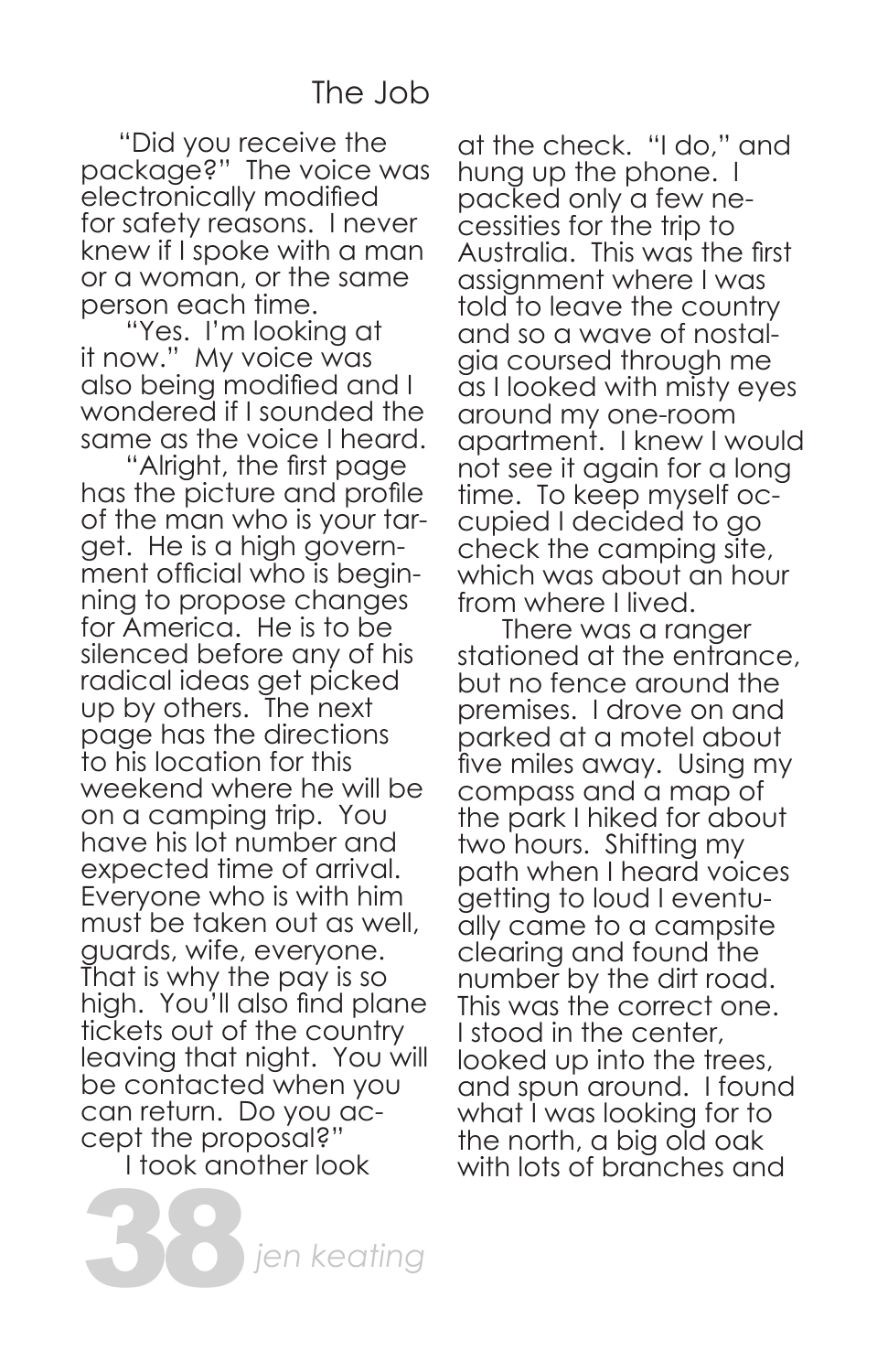## The Job

 "Did you receive the package?" The voice was electronically modified for safety reasons. I never knew if I spoke with a man or a woman, or the same person each time.

 "Yes. I'm looking at it now." My voice was also being modified and I wondered if I sounded the same as the voice I heard.

 "Alright, the first page has the picture and profile of the man who is your target. He is a high government official who is beginning to propose changes for America. He is to be silenced before any of his radical ideas get picked up by others. The next page has the directions to his location for this weekend where he will be on a camping trip. You have his lot number and expected time of arrival. Everyone who is with him must be taken out as well, guards, wife, everyone. That is why the pay is so high. You'll also find plane tickets out of the country leaving that night. You will be contacted when you can return. Do you ac-<br>cept the proposal?" I took another look

38*jen keating*

at the check. "I do," and hung up the phone. I packed only a few necessities for the trip to Australia. This was the first assignment where I was told to leave the country and so a wave of nostalgia coursed through me as I looked with misty eyes around my one-room apartment. I knew I would not see it again for a long time. To keep myself occupied I decided to go check the camping site, which was about an hour from where I lived.

 There was a ranger stationed at the entrance, but no fence around the premises. I drove on and parked at a motel about five miles away. Using my compass and a map of the park I hiked for about two hours. Shifting my path when I heard voices getting to loud I eventually came to a campsite clearing and found the number by the dirt road. This was the correct one. I stood in the center, looked up into the trees, and spun around. I found what I was looking for to the north, a big old oak with lots of branches and